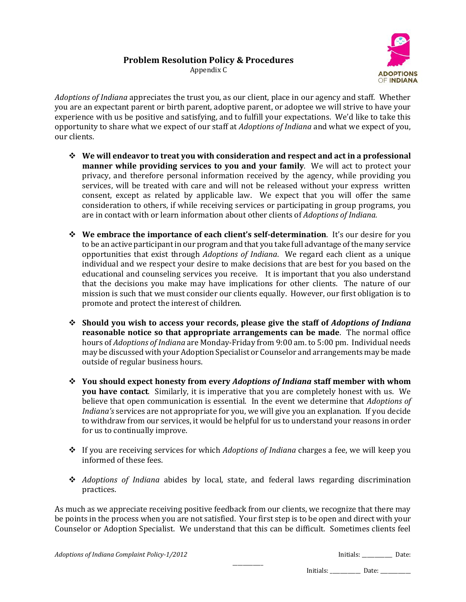

Appendix C

*Adoptions of Indiana* appreciates the trust you, as our client, place in our agency and staff. Whether you are an expectant parent or birth parent, adoptive parent, or adoptee we will strive to have your experience with us be positive and satisfying, and to fulfill your expectations. We'd like to take this opportunity to share what we expect of our staff at *Adoptions of Indiana* and what we expect of you, our clients.

- **We will endeavor to treat you with consideration and respect and act in a professional manner while providing services to you and your family**. We will act to protect your privacy, and therefore personal information received by the agency, while providing you services, will be treated with care and will not be released without your express written consent, except as related by applicable law. We expect that you will offer the same consideration to others, if while receiving services or participating in group programs, you are in contact with or learn information about other clients of *Adoptions of Indiana.*
- **We embrace the importance of each client's self-determination**. It's our desire for you to be an active participant in our program and that you take full advantage of the many service opportunities that exist through *Adoptions of Indiana*. We regard each client as a unique individual and we respect your desire to make decisions that are best for you based on the educational and counseling services you receive. It is important that you also understand that the decisions you make may have implications for other clients. The nature of our mission is such that we must consider our clients equally. However, our first obligation is to promote and protect the interest of children.
- **Should you wish to access your records, please give the staff of** *Adoptions of Indiana* **reasonable notice so that appropriate arrangements can be made**. The normal office hours of *Adoptions of Indiana* are Monday-Friday from 9:00 am. to 5:00 pm. Individual needs may be discussed with your Adoption Specialist or Counselor and arrangements may be made outside of regular business hours.
- **You should expect honesty from every** *Adoptions of Indiana* **staff member with whom you have contact**. Similarly, it is imperative that you are completely honest with us. We believe that open communication is essential. In the event we determine that *Adoptions of Indiana's* services are not appropriate for you, we will give you an explanation. If you decide to withdraw from our services, it would be helpful for us to understand your reasons in order for us to continually improve.
- If you are receiving services for which *Adoptions of Indiana* charges a fee, we will keep you informed of these fees.
- *Adoptions of Indiana* abides by local, state, and federal laws regarding discrimination practices.

\_\_\_\_\_\_\_\_\_\_\_\_

As much as we appreciate receiving positive feedback from our clients, we recognize that there may be points in the process when you are not satisfied. Your first step is to be open and direct with your Counselor or Adoption Specialist. We understand that this can be difficult. Sometimes clients feel

*Adoptions of Indiana Complaint Policy-1/2012* **Initials:** *Initials: \_\_\_\_\_\_\_\_\_* Date:

Initials: \_\_\_\_\_\_\_\_\_\_\_\_\_\_\_ Date: \_\_\_\_\_\_\_\_\_\_\_\_\_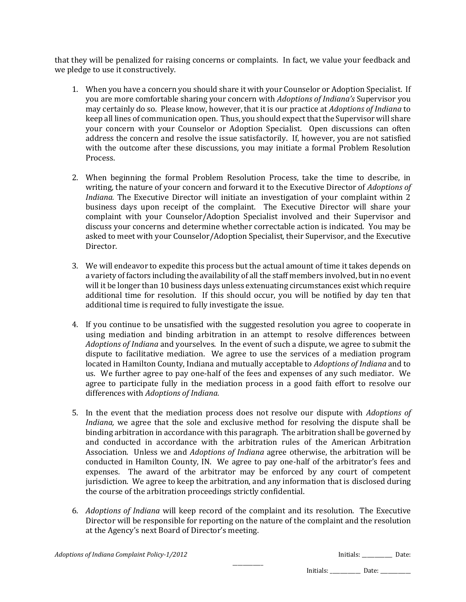that they will be penalized for raising concerns or complaints. In fact, we value your feedback and we pledge to use it constructively.

- 1. When you have a concern you should share it with your Counselor or Adoption Specialist. If you are more comfortable sharing your concern with *Adoptions of Indiana's* Supervisor you may certainly do so. Please know, however, that it is our practice at *Adoptions of Indiana* to keep all lines of communication open. Thus, you should expect that the Supervisor will share your concern with your Counselor or Adoption Specialist. Open discussions can often address the concern and resolve the issue satisfactorily. If, however, you are not satisfied with the outcome after these discussions, you may initiate a formal Problem Resolution Process.
- 2. When beginning the formal Problem Resolution Process, take the time to describe, in writing, the nature of your concern and forward it to the Executive Director of *Adoptions of Indiana.* The Executive Director will initiate an investigation of your complaint within 2 business days upon receipt of the complaint. The Executive Director will share your complaint with your Counselor/Adoption Specialist involved and their Supervisor and discuss your concerns and determine whether correctable action is indicated. You may be asked to meet with your Counselor/Adoption Specialist, their Supervisor, and the Executive Director.
- 3. We will endeavor to expedite this process but the actual amount of time it takes depends on a variety of factors including the availability of all the staff members involved, but in no event will it be longer than 10 business days unless extenuating circumstances exist which require additional time for resolution. If this should occur, you will be notified by day ten that additional time is required to fully investigate the issue.
- 4. If you continue to be unsatisfied with the suggested resolution you agree to cooperate in using mediation and binding arbitration in an attempt to resolve differences between *Adoptions of Indiana* and yourselves. In the event of such a dispute, we agree to submit the dispute to facilitative mediation. We agree to use the services of a mediation program located in Hamilton County, Indiana and mutually acceptable to *Adoptions of Indiana* and to us. We further agree to pay one-half of the fees and expenses of any such mediator. We agree to participate fully in the mediation process in a good faith effort to resolve our differences with *Adoptions of Indiana.*
- 5. In the event that the mediation process does not resolve our dispute with *Adoptions of Indiana,* we agree that the sole and exclusive method for resolving the dispute shall be binding arbitration in accordance with this paragraph. The arbitration shall be governed by and conducted in accordance with the arbitration rules of the American Arbitration Association. Unless we and *Adoptions of Indiana* agree otherwise, the arbitration will be conducted in Hamilton County, IN. We agree to pay one-half of the arbitrator's fees and expenses. The award of the arbitrator may be enforced by any court of competent jurisdiction. We agree to keep the arbitration, and any information that is disclosed during the course of the arbitration proceedings strictly confidential.
- 6. *Adoptions of Indiana* will keep record of the complaint and its resolution. The Executive Director will be responsible for reporting on the nature of the complaint and the resolution at the Agency's next Board of Director's meeting.

| Adoptions of Indiana Complaint Policy-1/2012 | Initia |
|----------------------------------------------|--------|
|                                              |        |

*Adoptions of Indiana Complaint Policy-1/2012* Initials: \_\_\_\_\_\_\_\_\_\_\_\_ Date:

Initials: \_\_\_\_\_\_\_\_\_\_\_\_\_\_\_ Date: \_\_\_\_\_\_\_\_\_\_\_\_\_